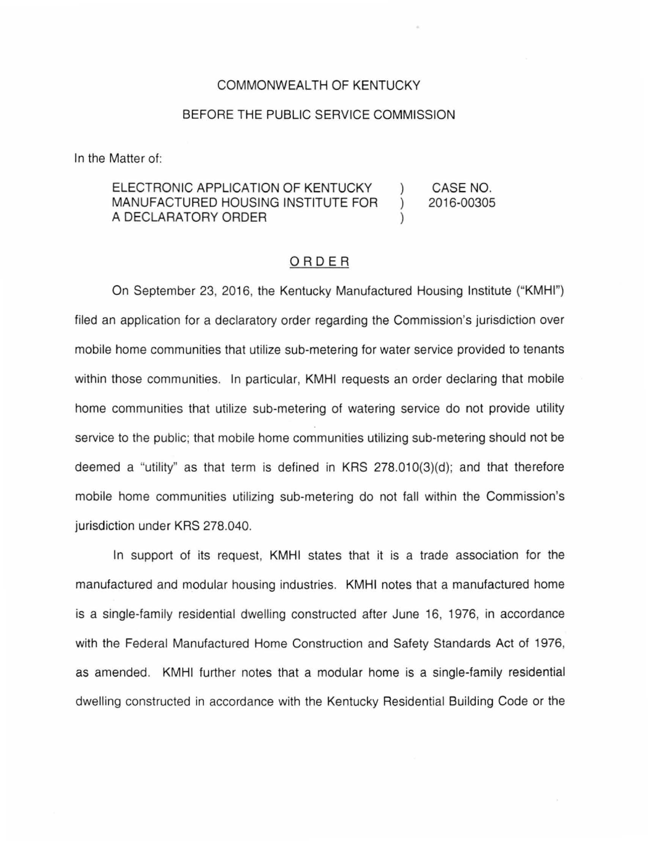## COMMONWEALTH OF KENTUCKY

## BEFORE THE PUBLIC SERVICE COMMISSION

In the Matter of:

## ELECTRONIC APPLICATION OF KENTUCKY CASE NO. MANUFACTURED HOUSING INSTITUTE FOR 2016-00305  $\mathcal{L}$ A DECLARATORY ORDER

## ORDER

On September 23, 2016, the Kentucky Manufactured Housing Institute ("KMHI") filed an application for a declaratory order regarding the Commission's jurisdiction over mobile home communities that utilize sub-metering for water service provided to tenants within those communities. In particular, KMHI requests an order declaring that mobile home communities that utilize sub-metering of watering service do not provide utility service to the public; that mobile home communities utilizing sub-metering should not be deemed a "utility" as that term is defined in KRS 278.01 0(3)(d); and that therefore mobile home communities utilizing sub-metering do not fall within the Commission's jurisdiction under KRS 278.040.

In support of its request, KMHI states that it is a trade association for the manufactured and modular housing industries. KMHI notes that a manufactured home is a single-family residential dwelling constructed after June 16, 1976, in accordance with the Federal Manufactured Home Construction and Safety Standards Act of 1976, as amended. KMHI further notes that a modular home is a single-family residential dwelling constructed in accordance with the Kentucky Residential Building Code or the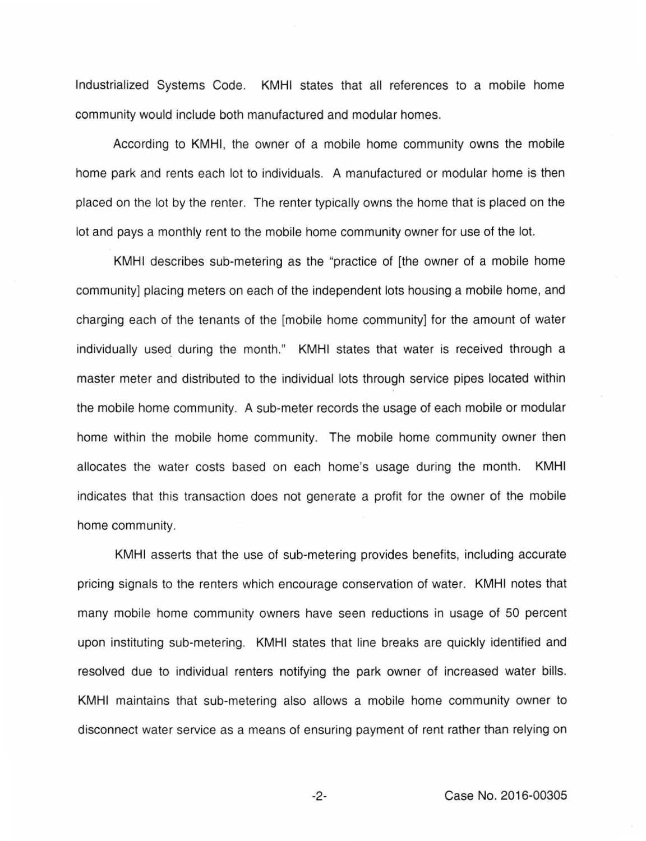Industrialized Systems Code. KMHI states that all references to a mobile home community would include both manufactured and modular homes.

According to KMHI, the owner of a mobile home community owns the mobile home park and rents each lot to individuals. A manufactured or modular home is then placed on the lot by the renter. The renter typically owns the home that is placed on the lot and pays a monthly rent to the mobile home community owner for use of the lot.

KMHI describes sub-metering as the "practice of [the owner of a mobile home community] placing meters on each of the independent lots housing a mobile home, and charging each of the tenants of the [mobile home community] for the amount of water individually used. during the month." KMHI states that water is received through a master meter and distributed to the individual lots through service pipes located within the mobile home community. A sub-meter records the usage of each mobile or modular home within the mobile home community. The mobile home community owner then allocates the water costs based on each home's usage during the month. KMHI indicates that this transaction does not generate a profit for the owner of the mobile home community.

KMHI asserts that the use of sub-metering provides benefits, including accurate pricing signals to the renters which encourage conservation of water. KMHI notes that many mobile home community owners have seen reductions in usage of 50 percent upon instituting sub-metering. KMHI states that line breaks are quickly identified and resolved due to individual renters notifying the park owner of increased water bills. KMHI maintains that sub-metering also allows a mobile home community owner to disconnect water service as a means of ensuring payment of rent rather than relying on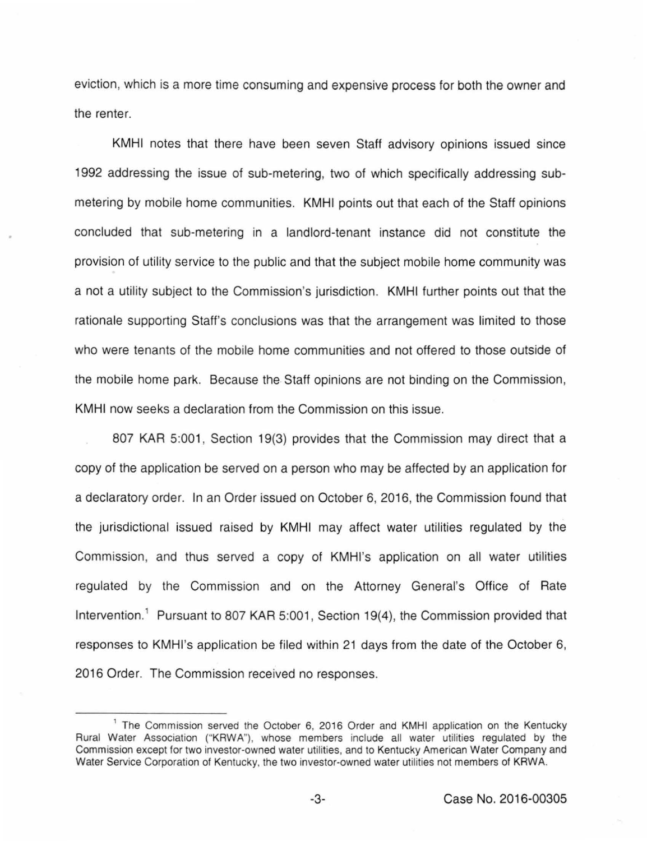eviction, which is a more time consuming and expensive process for both the owner and the renter.

KMHI notes that there have been seven Staff advisory opinions issued since 1992 addressing the issue of sub-metering, two of which specifically addressing submetering by mobile home communities. KMHI points out that each of the Staff opinions concluded that sub-metering in a landlord-tenant instance did not constitute the provision of utility service to the public and that the subject mobile home community was a not a utility subject to the Commission's jurisdiction. KMHI further points out that the rationale supporting Staff's conclusions was that the arrangement was limited to those who were tenants of the mobile home communities and not offered to those outside of the mobile home park. Because the Staff opinions are not binding on the Commission, KMHI now seeks a declaration from the Commission on this issue.

807 KAR 5:001, Section 19(3) provides that the Commission may direct that a copy of the application be served on a person who may be affected by an application for a declaratory order. In an Order issued on October 6, 2016, the Commission found that the jurisdictional issued raised by KMHI may affect water utilities regulated by the Commission, and thus served a copy of KMHI's application on all water utilities regulated by the Commission and on the Attorney General's Office of Rate Intervention.<sup>1</sup> Pursuant to 807 KAR 5:001, Section 19(4), the Commission provided that responses to KMHI's application be tiled within 21 days from the date of the October 6, 2016 Order. The Commission received no responses.

<sup>&</sup>lt;sup>1</sup> The Commission served the October 6, 2016 Order and KMHI application on the Kentucky Rural Water Association ("KRWA"), whose members include all water utilities regulated by the Commission except for two investor-owned water utilities, and to Kentucky American Water Company and Water Service Corporation of Kentucky, the two investor-owned water utilities not members of KRWA.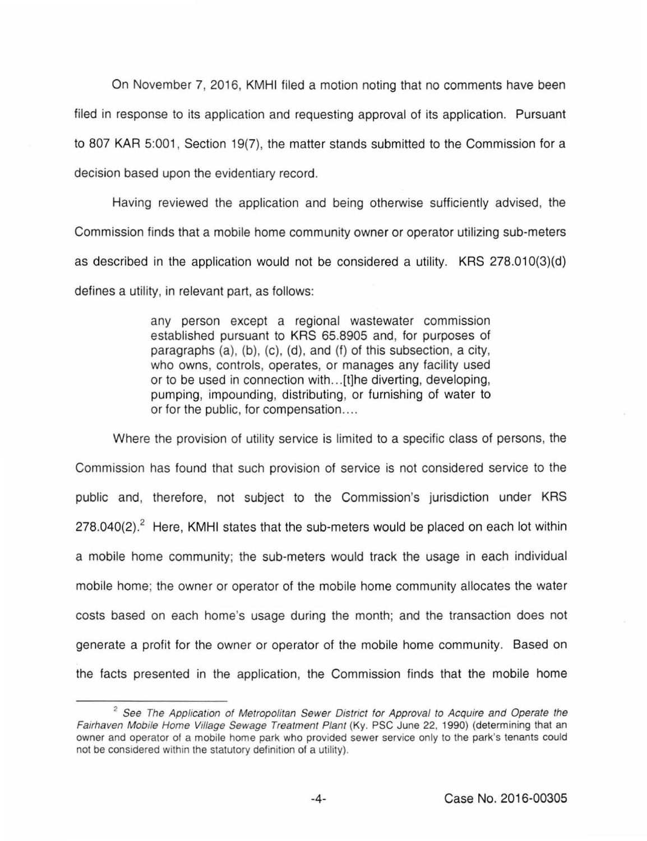On November 7, 2016, KMHI filed a motion noting that no comments have been filed in response to its application and requesting approval of its application. Pursuant to 807 KAR 5:001, Section 19(7), the matter stands submitted to the Commission for a decision based upon the evidentiary record.

Having reviewed the application and being otherwise sufficiently advised, the Commission finds that a mobile home community owner or operator utilizing sub-meters as described in the application would not be considered a utility. KRS 278.010(3)(d) defines a utility, in relevant part, as follows:

> any person except a regional wastewater commission established pursuant to KRS 65.8905 and, for purposes of paragraphs (a), (b), (c), (d), and (f) of this subsection, a city, who owns, controls, operates, or manages any facility used or to be used in connection with ... [t]he diverting, developing, pumping, impounding, distributing, or furnishing of water to or for the public, for compensation....

Where the provision of utility service is limited to a specific class of persons, the Commission has found that such provision of service is not considered service to the public and, therefore, not subject to the Commission's jurisdiction under KRS  $278.040(2).<sup>2</sup>$  Here, KMHI states that the sub-meters would be placed on each lot within a mobile home community; the sub-meters would track the usage in each individual mobile home; the owner or operator of the mobile home community allocates the water costs based on each home's usage during the month; and the transaction does not generate a profit for the owner or operator of the mobile home community. Based on the facts presented in the application, the Commission finds that the mobile home

 $2^2$  See The Application of Metropolitan Sewer District for Approval to Acquire and Operate the Fairhaven Mobile Home Village Sewage Treatment Plant (Ky. PSC June 22, 1990) (determining that an owner and operator of a mobile home park who provided sewer service only to the park's tenants could not be considered within the statutory definition of a utility).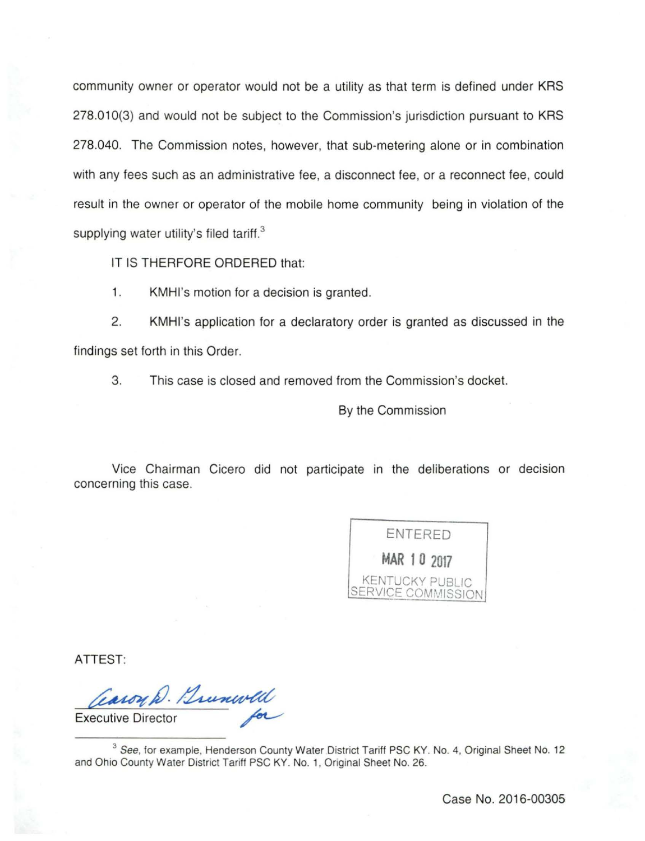community owner or operator would not be a utility as that term is defined under KRS 278.010(3) and would not be subject to the Commission's jurisdiction pursuant to KRS 278.040. The Commission notes, however, that sub-metering alone or in combination with any fees such as an administrative fee, a disconnect fee, or a reconnect fee, could result in the owner or operator of the mobile home community being in violation of the supplying water utility's filed tariff. $3$ 

IT IS THERFORE ORDERED that:

1. KMHI's motion for a decision is granted.

2. KMHI's application for a declaratory order is granted as discussed in the findings set forth in this Order.

3. This case is closed and removed from the Commission's docket.

By the Commission

Vice Chairman Cicero did not participate in the deliberations or decision concerning this case.



ATTEST:

aroy D. Brunwell Casoy D. Bunwell

<sup>3</sup> See, for example, Henderson County Water District Tariff PSC KY. No. 4, Original Sheet No. 12 and Ohio County Water District Tariff PSC KY. No. 1, Original Sheet No. 26.

Case No. 2016-00305